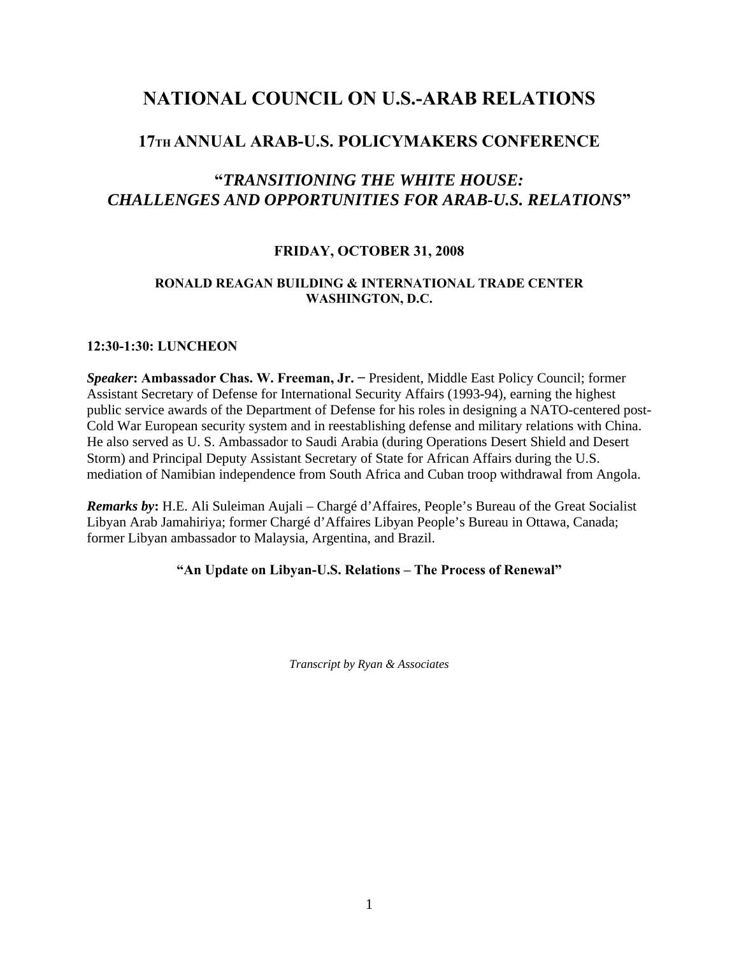# **NATIONAL COUNCIL ON U.S.-ARAB RELATIONS**

## **17TH ANNUAL ARAB-U.S. POLICYMAKERS CONFERENCE**

## **"***TRANSITIONING THE WHITE HOUSE: CHALLENGES AND OPPORTUNITIES FOR ARAB-U.S. RELATIONS***"**

### **FRIDAY, OCTOBER 31, 2008**

#### **RONALD REAGAN BUILDING & INTERNATIONAL TRADE CENTER WASHINGTON, D.C.**

#### **12:30-1:30: LUNCHEON**

*Speaker***: Ambassador Chas. W. Freeman, Jr. −** President, Middle East Policy Council; former Assistant Secretary of Defense for International Security Affairs (1993-94), earning the highest public service awards of the Department of Defense for his roles in designing a NATO-centered post-Cold War European security system and in reestablishing defense and military relations with China. He also served as U. S. Ambassador to Saudi Arabia (during Operations Desert Shield and Desert Storm) and Principal Deputy Assistant Secretary of State for African Affairs during the U.S. mediation of Namibian independence from South Africa and Cuban troop withdrawal from Angola.

*Remarks by***:** H.E. Ali Suleiman Aujali – Chargé d'Affaires, People's Bureau of the Great Socialist Libyan Arab Jamahiriya; former Chargé d'Affaires Libyan People's Bureau in Ottawa, Canada; former Libyan ambassador to Malaysia, Argentina, and Brazil.

#### **"An Update on Libyan-U.S. Relations – The Process of Renewal"**

*Transcript by Ryan & Associates*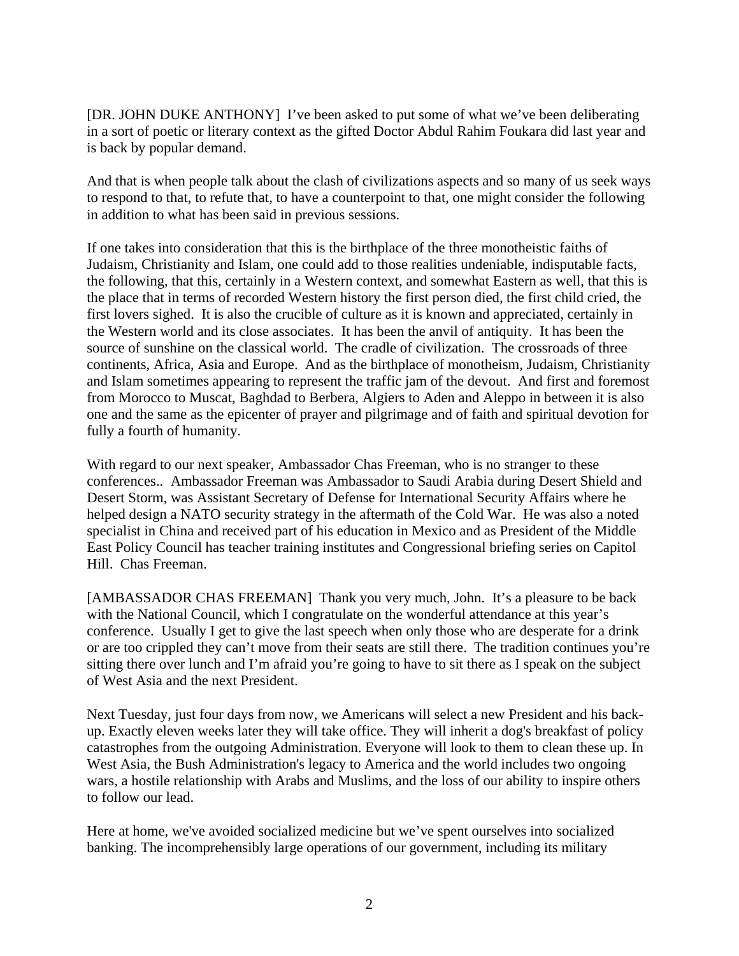[DR. JOHN DUKE ANTHONY] I've been asked to put some of what we've been deliberating in a sort of poetic or literary context as the gifted Doctor Abdul Rahim Foukara did last year and is back by popular demand.

And that is when people talk about the clash of civilizations aspects and so many of us seek ways to respond to that, to refute that, to have a counterpoint to that, one might consider the following in addition to what has been said in previous sessions.

If one takes into consideration that this is the birthplace of the three monotheistic faiths of Judaism, Christianity and Islam, one could add to those realities undeniable, indisputable facts, the following, that this, certainly in a Western context, and somewhat Eastern as well, that this is the place that in terms of recorded Western history the first person died, the first child cried, the first lovers sighed. It is also the crucible of culture as it is known and appreciated, certainly in the Western world and its close associates. It has been the anvil of antiquity. It has been the source of sunshine on the classical world. The cradle of civilization. The crossroads of three continents, Africa, Asia and Europe. And as the birthplace of monotheism, Judaism, Christianity and Islam sometimes appearing to represent the traffic jam of the devout. And first and foremost from Morocco to Muscat, Baghdad to Berbera, Algiers to Aden and Aleppo in between it is also one and the same as the epicenter of prayer and pilgrimage and of faith and spiritual devotion for fully a fourth of humanity.

With regard to our next speaker, Ambassador Chas Freeman, who is no stranger to these conferences.. Ambassador Freeman was Ambassador to Saudi Arabia during Desert Shield and Desert Storm, was Assistant Secretary of Defense for International Security Affairs where he helped design a NATO security strategy in the aftermath of the Cold War. He was also a noted specialist in China and received part of his education in Mexico and as President of the Middle East Policy Council has teacher training institutes and Congressional briefing series on Capitol Hill. Chas Freeman.

[AMBASSADOR CHAS FREEMAN] Thank you very much, John. It's a pleasure to be back with the National Council, which I congratulate on the wonderful attendance at this year's conference. Usually I get to give the last speech when only those who are desperate for a drink or are too crippled they can't move from their seats are still there. The tradition continues you're sitting there over lunch and I'm afraid you're going to have to sit there as I speak on the subject of West Asia and the next President.

Next Tuesday, just four days from now, we Americans will select a new President and his backup. Exactly eleven weeks later they will take office. They will inherit a dog's breakfast of policy catastrophes from the outgoing Administration. Everyone will look to them to clean these up. In West Asia, the Bush Administration's legacy to America and the world includes two ongoing wars, a hostile relationship with Arabs and Muslims, and the loss of our ability to inspire others to follow our lead.

Here at home, we've avoided socialized medicine but we've spent ourselves into socialized banking. The incomprehensibly large operations of our government, including its military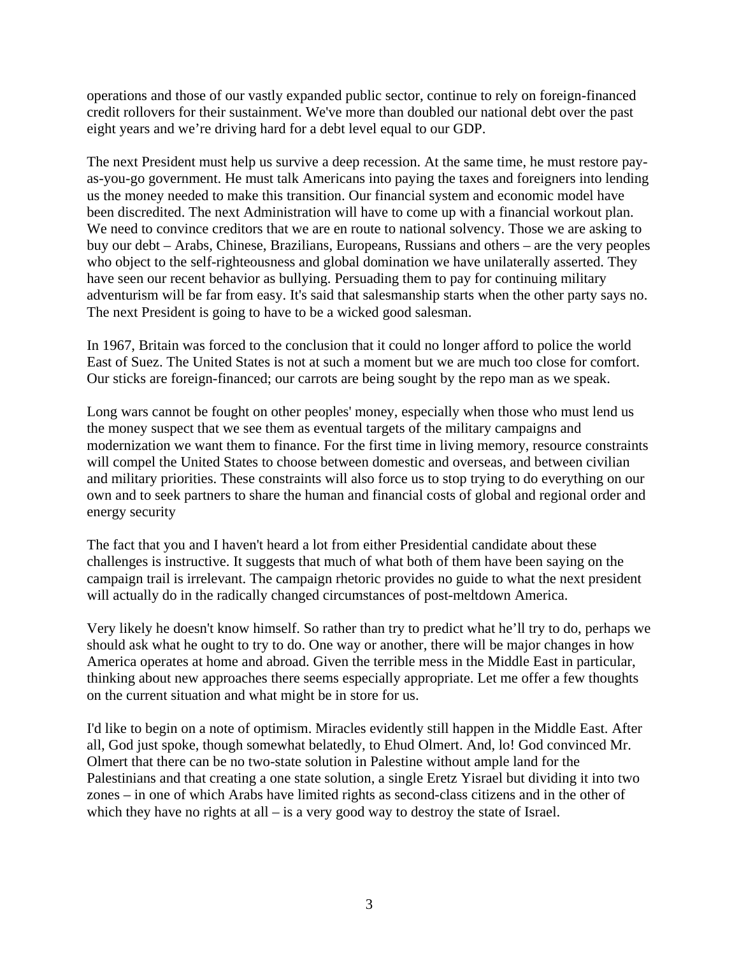operations and those of our vastly expanded public sector, continue to rely on foreign-financed credit rollovers for their sustainment. We've more than doubled our national debt over the past eight years and we're driving hard for a debt level equal to our GDP.

The next President must help us survive a deep recession. At the same time, he must restore payas-you-go government. He must talk Americans into paying the taxes and foreigners into lending us the money needed to make this transition. Our financial system and economic model have been discredited. The next Administration will have to come up with a financial workout plan. We need to convince creditors that we are en route to national solvency. Those we are asking to buy our debt – Arabs, Chinese, Brazilians, Europeans, Russians and others – are the very peoples who object to the self-righteousness and global domination we have unilaterally asserted. They have seen our recent behavior as bullying. Persuading them to pay for continuing military adventurism will be far from easy. It's said that salesmanship starts when the other party says no. The next President is going to have to be a wicked good salesman.

In 1967, Britain was forced to the conclusion that it could no longer afford to police the world East of Suez. The United States is not at such a moment but we are much too close for comfort. Our sticks are foreign-financed; our carrots are being sought by the repo man as we speak.

Long wars cannot be fought on other peoples' money, especially when those who must lend us the money suspect that we see them as eventual targets of the military campaigns and modernization we want them to finance. For the first time in living memory, resource constraints will compel the United States to choose between domestic and overseas, and between civilian and military priorities. These constraints will also force us to stop trying to do everything on our own and to seek partners to share the human and financial costs of global and regional order and energy security

The fact that you and I haven't heard a lot from either Presidential candidate about these challenges is instructive. It suggests that much of what both of them have been saying on the campaign trail is irrelevant. The campaign rhetoric provides no guide to what the next president will actually do in the radically changed circumstances of post-meltdown America.

Very likely he doesn't know himself. So rather than try to predict what he'll try to do, perhaps we should ask what he ought to try to do. One way or another, there will be major changes in how America operates at home and abroad. Given the terrible mess in the Middle East in particular, thinking about new approaches there seems especially appropriate. Let me offer a few thoughts on the current situation and what might be in store for us.

I'd like to begin on a note of optimism. Miracles evidently still happen in the Middle East. After all, God just spoke, though somewhat belatedly, to Ehud Olmert. And, lo! God convinced Mr. Olmert that there can be no two-state solution in Palestine without ample land for the Palestinians and that creating a one state solution, a single Eretz Yisrael but dividing it into two zones – in one of which Arabs have limited rights as second-class citizens and in the other of which they have no rights at all  $-$  is a very good way to destroy the state of Israel.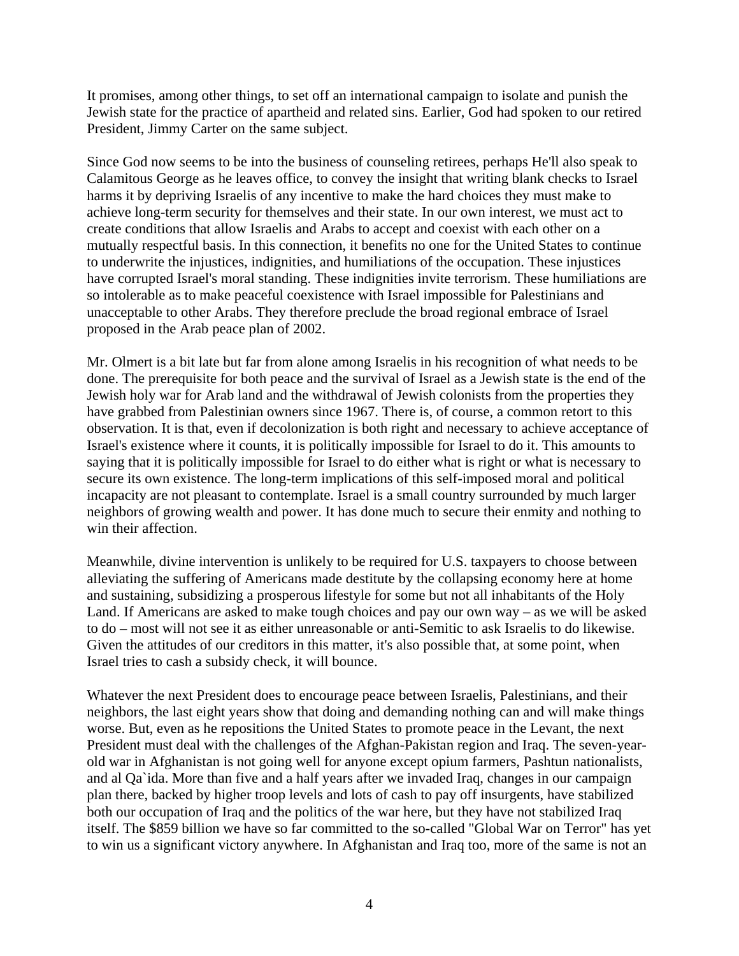It promises, among other things, to set off an international campaign to isolate and punish the Jewish state for the practice of apartheid and related sins. Earlier, God had spoken to our retired President, Jimmy Carter on the same subject.

Since God now seems to be into the business of counseling retirees, perhaps He'll also speak to Calamitous George as he leaves office, to convey the insight that writing blank checks to Israel harms it by depriving Israelis of any incentive to make the hard choices they must make to achieve long-term security for themselves and their state. In our own interest, we must act to create conditions that allow Israelis and Arabs to accept and coexist with each other on a mutually respectful basis. In this connection, it benefits no one for the United States to continue to underwrite the injustices, indignities, and humiliations of the occupation. These injustices have corrupted Israel's moral standing. These indignities invite terrorism. These humiliations are so intolerable as to make peaceful coexistence with Israel impossible for Palestinians and unacceptable to other Arabs. They therefore preclude the broad regional embrace of Israel proposed in the Arab peace plan of 2002.

Mr. Olmert is a bit late but far from alone among Israelis in his recognition of what needs to be done. The prerequisite for both peace and the survival of Israel as a Jewish state is the end of the Jewish holy war for Arab land and the withdrawal of Jewish colonists from the properties they have grabbed from Palestinian owners since 1967. There is, of course, a common retort to this observation. It is that, even if decolonization is both right and necessary to achieve acceptance of Israel's existence where it counts, it is politically impossible for Israel to do it. This amounts to saying that it is politically impossible for Israel to do either what is right or what is necessary to secure its own existence. The long-term implications of this self-imposed moral and political incapacity are not pleasant to contemplate. Israel is a small country surrounded by much larger neighbors of growing wealth and power. It has done much to secure their enmity and nothing to win their affection.

Meanwhile, divine intervention is unlikely to be required for U.S. taxpayers to choose between alleviating the suffering of Americans made destitute by the collapsing economy here at home and sustaining, subsidizing a prosperous lifestyle for some but not all inhabitants of the Holy Land. If Americans are asked to make tough choices and pay our own way – as we will be asked to do – most will not see it as either unreasonable or anti-Semitic to ask Israelis to do likewise. Given the attitudes of our creditors in this matter, it's also possible that, at some point, when Israel tries to cash a subsidy check, it will bounce.

Whatever the next President does to encourage peace between Israelis, Palestinians, and their neighbors, the last eight years show that doing and demanding nothing can and will make things worse. But, even as he repositions the United States to promote peace in the Levant, the next President must deal with the challenges of the Afghan-Pakistan region and Iraq. The seven-yearold war in Afghanistan is not going well for anyone except opium farmers, Pashtun nationalists, and al Qa`ida. More than five and a half years after we invaded Iraq, changes in our campaign plan there, backed by higher troop levels and lots of cash to pay off insurgents, have stabilized both our occupation of Iraq and the politics of the war here, but they have not stabilized Iraq itself. The \$859 billion we have so far committed to the so-called "Global War on Terror" has yet to win us a significant victory anywhere. In Afghanistan and Iraq too, more of the same is not an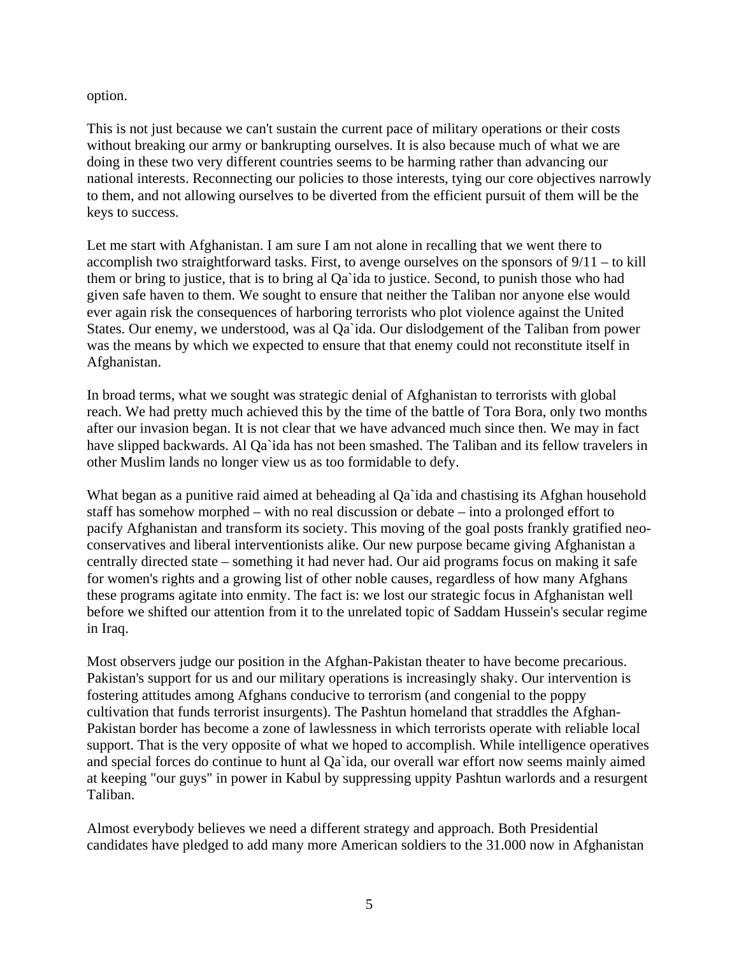option.

This is not just because we can't sustain the current pace of military operations or their costs without breaking our army or bankrupting ourselves. It is also because much of what we are doing in these two very different countries seems to be harming rather than advancing our national interests. Reconnecting our policies to those interests, tying our core objectives narrowly to them, and not allowing ourselves to be diverted from the efficient pursuit of them will be the keys to success.

Let me start with Afghanistan. I am sure I am not alone in recalling that we went there to accomplish two straightforward tasks. First, to avenge ourselves on the sponsors of 9/11 – to kill them or bring to justice, that is to bring al Qa`ida to justice. Second, to punish those who had given safe haven to them. We sought to ensure that neither the Taliban nor anyone else would ever again risk the consequences of harboring terrorists who plot violence against the United States. Our enemy, we understood, was al Qa`ida. Our dislodgement of the Taliban from power was the means by which we expected to ensure that that enemy could not reconstitute itself in Afghanistan.

In broad terms, what we sought was strategic denial of Afghanistan to terrorists with global reach. We had pretty much achieved this by the time of the battle of Tora Bora, only two months after our invasion began. It is not clear that we have advanced much since then. We may in fact have slipped backwards. Al Qa`ida has not been smashed. The Taliban and its fellow travelers in other Muslim lands no longer view us as too formidable to defy.

What began as a punitive raid aimed at beheading al Qa`ida and chastising its Afghan household staff has somehow morphed – with no real discussion or debate – into a prolonged effort to pacify Afghanistan and transform its society. This moving of the goal posts frankly gratified neoconservatives and liberal interventionists alike. Our new purpose became giving Afghanistan a centrally directed state – something it had never had. Our aid programs focus on making it safe for women's rights and a growing list of other noble causes, regardless of how many Afghans these programs agitate into enmity. The fact is: we lost our strategic focus in Afghanistan well before we shifted our attention from it to the unrelated topic of Saddam Hussein's secular regime in Iraq.

Most observers judge our position in the Afghan-Pakistan theater to have become precarious. Pakistan's support for us and our military operations is increasingly shaky. Our intervention is fostering attitudes among Afghans conducive to terrorism (and congenial to the poppy cultivation that funds terrorist insurgents). The Pashtun homeland that straddles the Afghan-Pakistan border has become a zone of lawlessness in which terrorists operate with reliable local support. That is the very opposite of what we hoped to accomplish. While intelligence operatives and special forces do continue to hunt al Qa`ida, our overall war effort now seems mainly aimed at keeping "our guys" in power in Kabul by suppressing uppity Pashtun warlords and a resurgent Taliban.

Almost everybody believes we need a different strategy and approach. Both Presidential candidates have pledged to add many more American soldiers to the 31.000 now in Afghanistan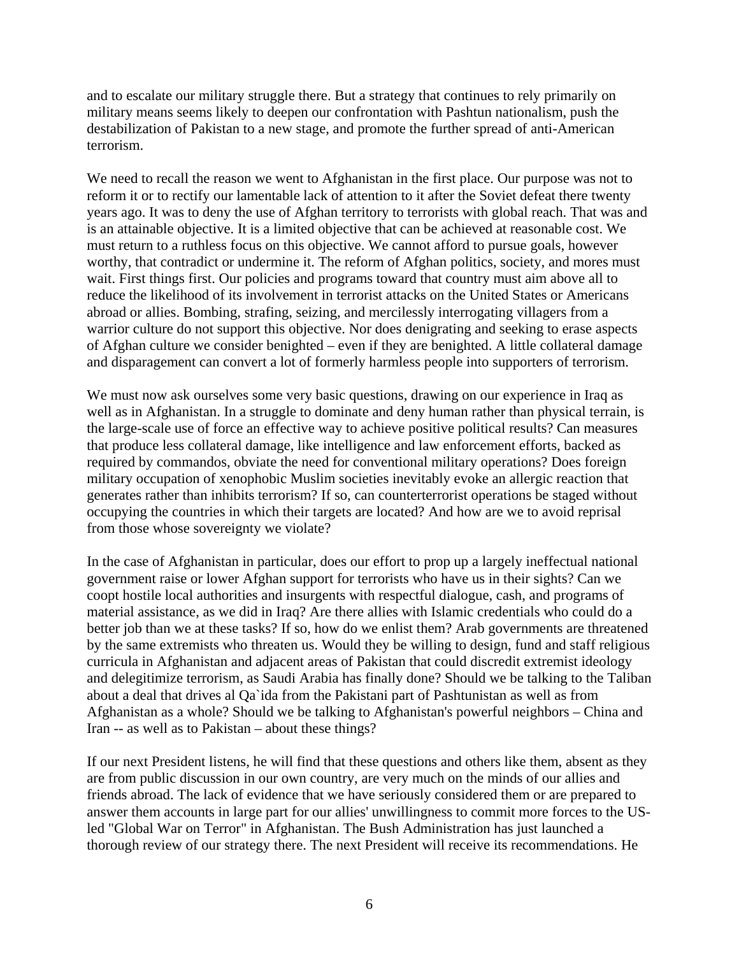and to escalate our military struggle there. But a strategy that continues to rely primarily on military means seems likely to deepen our confrontation with Pashtun nationalism, push the destabilization of Pakistan to a new stage, and promote the further spread of anti-American terrorism.

We need to recall the reason we went to Afghanistan in the first place. Our purpose was not to reform it or to rectify our lamentable lack of attention to it after the Soviet defeat there twenty years ago. It was to deny the use of Afghan territory to terrorists with global reach. That was and is an attainable objective. It is a limited objective that can be achieved at reasonable cost. We must return to a ruthless focus on this objective. We cannot afford to pursue goals, however worthy, that contradict or undermine it. The reform of Afghan politics, society, and mores must wait. First things first. Our policies and programs toward that country must aim above all to reduce the likelihood of its involvement in terrorist attacks on the United States or Americans abroad or allies. Bombing, strafing, seizing, and mercilessly interrogating villagers from a warrior culture do not support this objective. Nor does denigrating and seeking to erase aspects of Afghan culture we consider benighted – even if they are benighted. A little collateral damage and disparagement can convert a lot of formerly harmless people into supporters of terrorism.

We must now ask ourselves some very basic questions, drawing on our experience in Iraq as well as in Afghanistan. In a struggle to dominate and deny human rather than physical terrain, is the large-scale use of force an effective way to achieve positive political results? Can measures that produce less collateral damage, like intelligence and law enforcement efforts, backed as required by commandos, obviate the need for conventional military operations? Does foreign military occupation of xenophobic Muslim societies inevitably evoke an allergic reaction that generates rather than inhibits terrorism? If so, can counterterrorist operations be staged without occupying the countries in which their targets are located? And how are we to avoid reprisal from those whose sovereignty we violate?

In the case of Afghanistan in particular, does our effort to prop up a largely ineffectual national government raise or lower Afghan support for terrorists who have us in their sights? Can we coopt hostile local authorities and insurgents with respectful dialogue, cash, and programs of material assistance, as we did in Iraq? Are there allies with Islamic credentials who could do a better job than we at these tasks? If so, how do we enlist them? Arab governments are threatened by the same extremists who threaten us. Would they be willing to design, fund and staff religious curricula in Afghanistan and adjacent areas of Pakistan that could discredit extremist ideology and delegitimize terrorism, as Saudi Arabia has finally done? Should we be talking to the Taliban about a deal that drives al Qa`ida from the Pakistani part of Pashtunistan as well as from Afghanistan as a whole? Should we be talking to Afghanistan's powerful neighbors – China and Iran -- as well as to Pakistan – about these things?

If our next President listens, he will find that these questions and others like them, absent as they are from public discussion in our own country, are very much on the minds of our allies and friends abroad. The lack of evidence that we have seriously considered them or are prepared to answer them accounts in large part for our allies' unwillingness to commit more forces to the USled "Global War on Terror" in Afghanistan. The Bush Administration has just launched a thorough review of our strategy there. The next President will receive its recommendations. He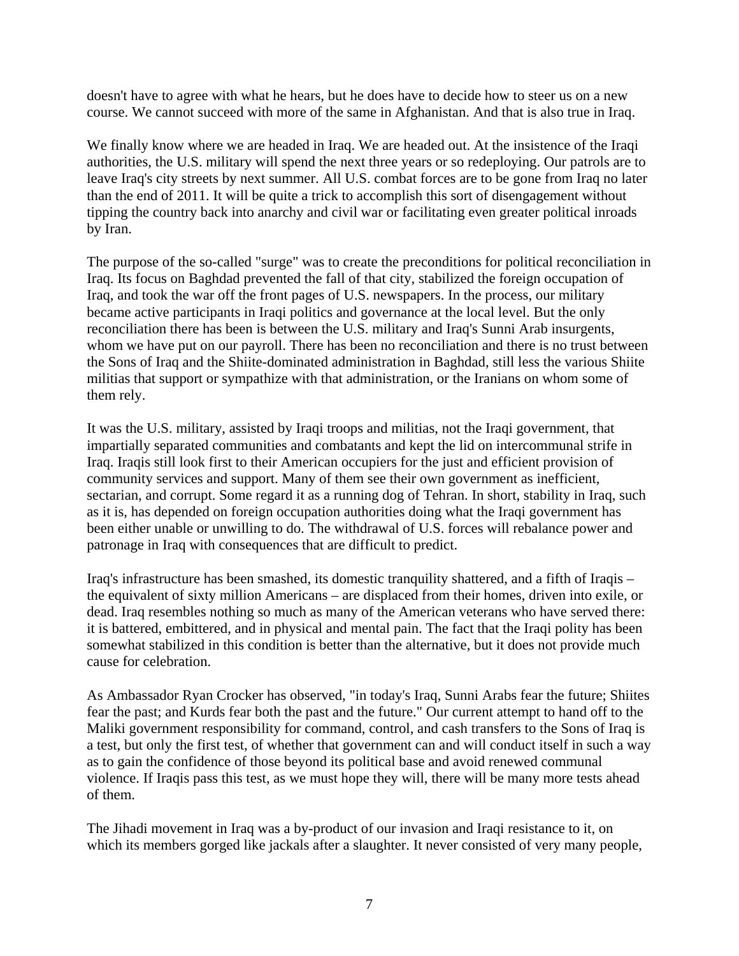doesn't have to agree with what he hears, but he does have to decide how to steer us on a new course. We cannot succeed with more of the same in Afghanistan. And that is also true in Iraq.

We finally know where we are headed in Iraq. We are headed out. At the insistence of the Iraqi authorities, the U.S. military will spend the next three years or so redeploying. Our patrols are to leave Iraq's city streets by next summer. All U.S. combat forces are to be gone from Iraq no later than the end of 2011. It will be quite a trick to accomplish this sort of disengagement without tipping the country back into anarchy and civil war or facilitating even greater political inroads by Iran.

The purpose of the so-called "surge" was to create the preconditions for political reconciliation in Iraq. Its focus on Baghdad prevented the fall of that city, stabilized the foreign occupation of Iraq, and took the war off the front pages of U.S. newspapers. In the process, our military became active participants in Iraqi politics and governance at the local level. But the only reconciliation there has been is between the U.S. military and Iraq's Sunni Arab insurgents, whom we have put on our payroll. There has been no reconciliation and there is no trust between the Sons of Iraq and the Shiite-dominated administration in Baghdad, still less the various Shiite militias that support or sympathize with that administration, or the Iranians on whom some of them rely.

It was the U.S. military, assisted by Iraqi troops and militias, not the Iraqi government, that impartially separated communities and combatants and kept the lid on intercommunal strife in Iraq. Iraqis still look first to their American occupiers for the just and efficient provision of community services and support. Many of them see their own government as inefficient, sectarian, and corrupt. Some regard it as a running dog of Tehran. In short, stability in Iraq, such as it is, has depended on foreign occupation authorities doing what the Iraqi government has been either unable or unwilling to do. The withdrawal of U.S. forces will rebalance power and patronage in Iraq with consequences that are difficult to predict.

Iraq's infrastructure has been smashed, its domestic tranquility shattered, and a fifth of Iraqis – the equivalent of sixty million Americans – are displaced from their homes, driven into exile, or dead. Iraq resembles nothing so much as many of the American veterans who have served there: it is battered, embittered, and in physical and mental pain. The fact that the Iraqi polity has been somewhat stabilized in this condition is better than the alternative, but it does not provide much cause for celebration.

As Ambassador Ryan Crocker has observed, "in today's Iraq, Sunni Arabs fear the future; Shiites fear the past; and Kurds fear both the past and the future." Our current attempt to hand off to the Maliki government responsibility for command, control, and cash transfers to the Sons of Iraq is a test, but only the first test, of whether that government can and will conduct itself in such a way as to gain the confidence of those beyond its political base and avoid renewed communal violence. If Iraqis pass this test, as we must hope they will, there will be many more tests ahead of them.

The Jihadi movement in Iraq was a by-product of our invasion and Iraqi resistance to it, on which its members gorged like jackals after a slaughter. It never consisted of very many people,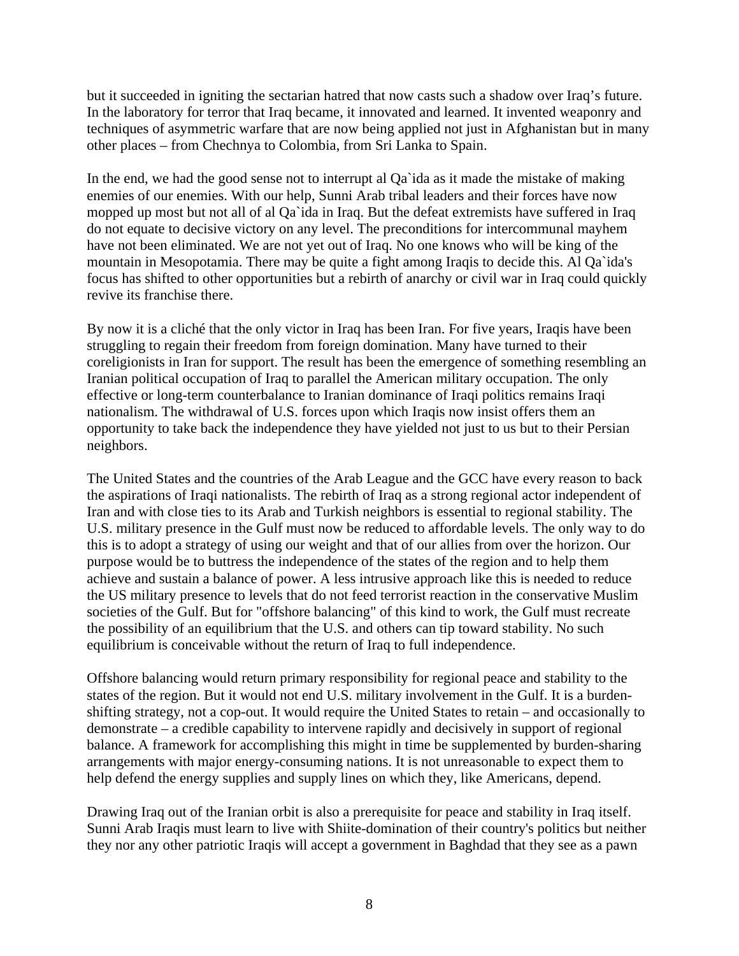but it succeeded in igniting the sectarian hatred that now casts such a shadow over Iraq's future. In the laboratory for terror that Iraq became, it innovated and learned. It invented weaponry and techniques of asymmetric warfare that are now being applied not just in Afghanistan but in many other places – from Chechnya to Colombia, from Sri Lanka to Spain.

In the end, we had the good sense not to interrupt al Qa`ida as it made the mistake of making enemies of our enemies. With our help, Sunni Arab tribal leaders and their forces have now mopped up most but not all of al Qa`ida in Iraq. But the defeat extremists have suffered in Iraq do not equate to decisive victory on any level. The preconditions for intercommunal mayhem have not been eliminated. We are not yet out of Iraq. No one knows who will be king of the mountain in Mesopotamia. There may be quite a fight among Iraqis to decide this. Al Qa`ida's focus has shifted to other opportunities but a rebirth of anarchy or civil war in Iraq could quickly revive its franchise there.

By now it is a cliché that the only victor in Iraq has been Iran. For five years, Iraqis have been struggling to regain their freedom from foreign domination. Many have turned to their coreligionists in Iran for support. The result has been the emergence of something resembling an Iranian political occupation of Iraq to parallel the American military occupation. The only effective or long-term counterbalance to Iranian dominance of Iraqi politics remains Iraqi nationalism. The withdrawal of U.S. forces upon which Iraqis now insist offers them an opportunity to take back the independence they have yielded not just to us but to their Persian neighbors.

The United States and the countries of the Arab League and the GCC have every reason to back the aspirations of Iraqi nationalists. The rebirth of Iraq as a strong regional actor independent of Iran and with close ties to its Arab and Turkish neighbors is essential to regional stability. The U.S. military presence in the Gulf must now be reduced to affordable levels. The only way to do this is to adopt a strategy of using our weight and that of our allies from over the horizon. Our purpose would be to buttress the independence of the states of the region and to help them achieve and sustain a balance of power. A less intrusive approach like this is needed to reduce the US military presence to levels that do not feed terrorist reaction in the conservative Muslim societies of the Gulf. But for "offshore balancing" of this kind to work, the Gulf must recreate the possibility of an equilibrium that the U.S. and others can tip toward stability. No such equilibrium is conceivable without the return of Iraq to full independence.

Offshore balancing would return primary responsibility for regional peace and stability to the states of the region. But it would not end U.S. military involvement in the Gulf. It is a burdenshifting strategy, not a cop-out. It would require the United States to retain – and occasionally to demonstrate – a credible capability to intervene rapidly and decisively in support of regional balance. A framework for accomplishing this might in time be supplemented by burden-sharing arrangements with major energy-consuming nations. It is not unreasonable to expect them to help defend the energy supplies and supply lines on which they, like Americans, depend.

Drawing Iraq out of the Iranian orbit is also a prerequisite for peace and stability in Iraq itself. Sunni Arab Iraqis must learn to live with Shiite-domination of their country's politics but neither they nor any other patriotic Iraqis will accept a government in Baghdad that they see as a pawn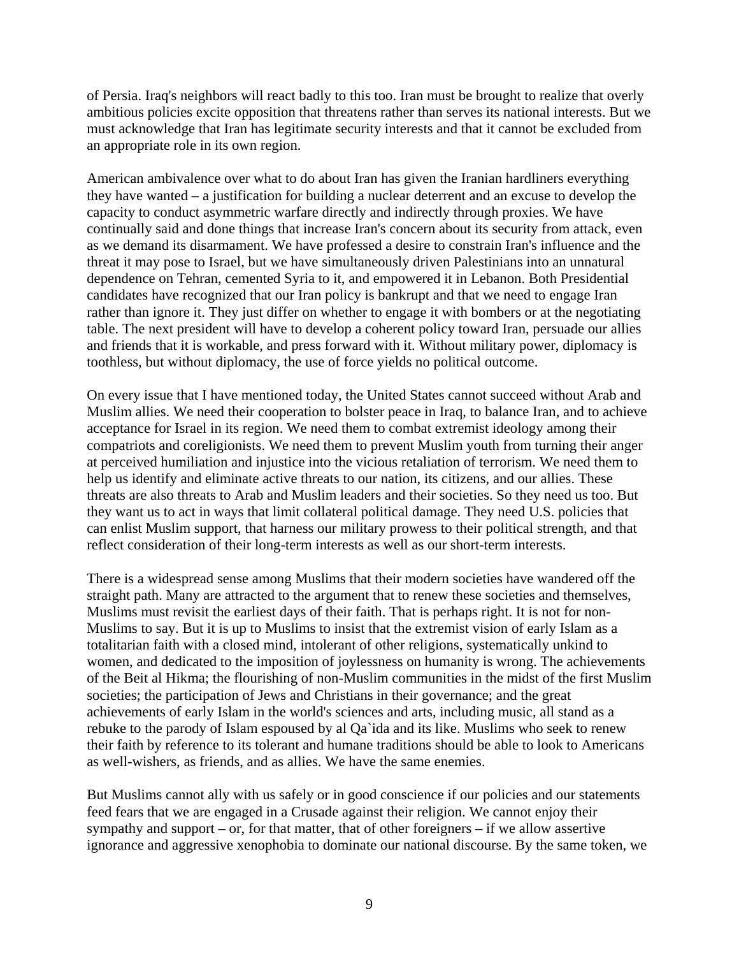of Persia. Iraq's neighbors will react badly to this too. Iran must be brought to realize that overly ambitious policies excite opposition that threatens rather than serves its national interests. But we must acknowledge that Iran has legitimate security interests and that it cannot be excluded from an appropriate role in its own region.

American ambivalence over what to do about Iran has given the Iranian hardliners everything they have wanted – a justification for building a nuclear deterrent and an excuse to develop the capacity to conduct asymmetric warfare directly and indirectly through proxies. We have continually said and done things that increase Iran's concern about its security from attack, even as we demand its disarmament. We have professed a desire to constrain Iran's influence and the threat it may pose to Israel, but we have simultaneously driven Palestinians into an unnatural dependence on Tehran, cemented Syria to it, and empowered it in Lebanon. Both Presidential candidates have recognized that our Iran policy is bankrupt and that we need to engage Iran rather than ignore it. They just differ on whether to engage it with bombers or at the negotiating table. The next president will have to develop a coherent policy toward Iran, persuade our allies and friends that it is workable, and press forward with it. Without military power, diplomacy is toothless, but without diplomacy, the use of force yields no political outcome.

On every issue that I have mentioned today, the United States cannot succeed without Arab and Muslim allies. We need their cooperation to bolster peace in Iraq, to balance Iran, and to achieve acceptance for Israel in its region. We need them to combat extremist ideology among their compatriots and coreligionists. We need them to prevent Muslim youth from turning their anger at perceived humiliation and injustice into the vicious retaliation of terrorism. We need them to help us identify and eliminate active threats to our nation, its citizens, and our allies. These threats are also threats to Arab and Muslim leaders and their societies. So they need us too. But they want us to act in ways that limit collateral political damage. They need U.S. policies that can enlist Muslim support, that harness our military prowess to their political strength, and that reflect consideration of their long-term interests as well as our short-term interests.

There is a widespread sense among Muslims that their modern societies have wandered off the straight path. Many are attracted to the argument that to renew these societies and themselves, Muslims must revisit the earliest days of their faith. That is perhaps right. It is not for non-Muslims to say. But it is up to Muslims to insist that the extremist vision of early Islam as a totalitarian faith with a closed mind, intolerant of other religions, systematically unkind to women, and dedicated to the imposition of joylessness on humanity is wrong. The achievements of the Beit al Hikma; the flourishing of non-Muslim communities in the midst of the first Muslim societies; the participation of Jews and Christians in their governance; and the great achievements of early Islam in the world's sciences and arts, including music, all stand as a rebuke to the parody of Islam espoused by al Qa`ida and its like. Muslims who seek to renew their faith by reference to its tolerant and humane traditions should be able to look to Americans as well-wishers, as friends, and as allies. We have the same enemies.

But Muslims cannot ally with us safely or in good conscience if our policies and our statements feed fears that we are engaged in a Crusade against their religion. We cannot enjoy their sympathy and support – or, for that matter, that of other foreigners – if we allow assertive ignorance and aggressive xenophobia to dominate our national discourse. By the same token, we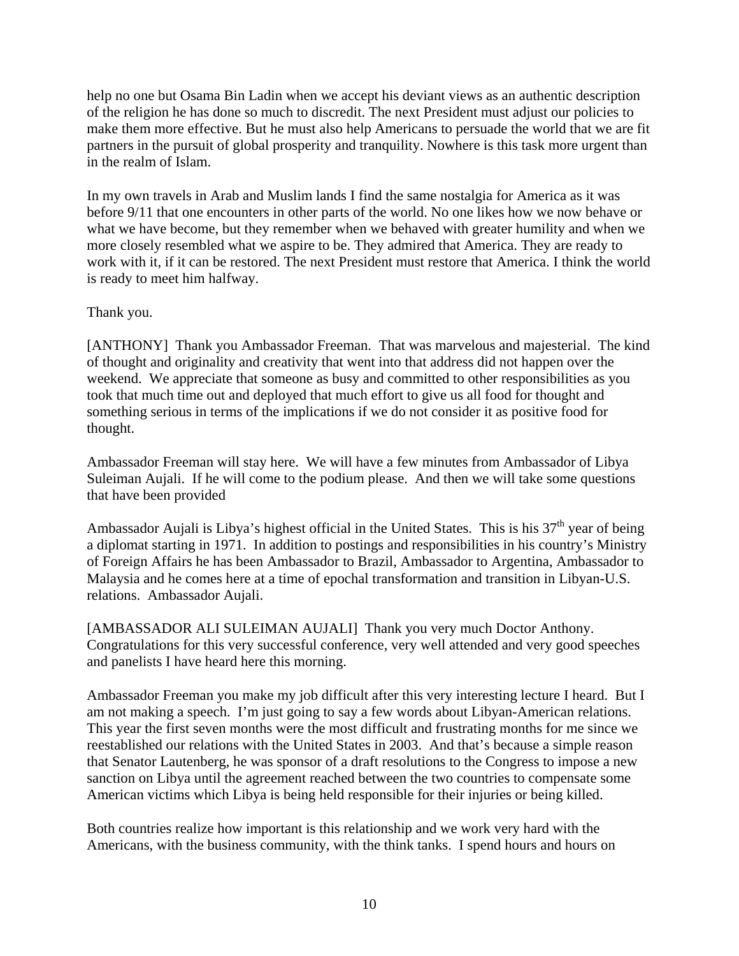help no one but Osama Bin Ladin when we accept his deviant views as an authentic description of the religion he has done so much to discredit. The next President must adjust our policies to make them more effective. But he must also help Americans to persuade the world that we are fit partners in the pursuit of global prosperity and tranquility. Nowhere is this task more urgent than in the realm of Islam.

In my own travels in Arab and Muslim lands I find the same nostalgia for America as it was before 9/11 that one encounters in other parts of the world. No one likes how we now behave or what we have become, but they remember when we behaved with greater humility and when we more closely resembled what we aspire to be. They admired that America. They are ready to work with it, if it can be restored. The next President must restore that America. I think the world is ready to meet him halfway.

### Thank you.

[ANTHONY] Thank you Ambassador Freeman. That was marvelous and majesterial. The kind of thought and originality and creativity that went into that address did not happen over the weekend. We appreciate that someone as busy and committed to other responsibilities as you took that much time out and deployed that much effort to give us all food for thought and something serious in terms of the implications if we do not consider it as positive food for thought.

Ambassador Freeman will stay here. We will have a few minutes from Ambassador of Libya Suleiman Aujali. If he will come to the podium please. And then we will take some questions that have been provided

Ambassador Aujali is Libya's highest official in the United States. This is his  $37<sup>th</sup>$  year of being a diplomat starting in 1971. In addition to postings and responsibilities in his country's Ministry of Foreign Affairs he has been Ambassador to Brazil, Ambassador to Argentina, Ambassador to Malaysia and he comes here at a time of epochal transformation and transition in Libyan-U.S. relations. Ambassador Aujali.

[AMBASSADOR ALI SULEIMAN AUJALI] Thank you very much Doctor Anthony. Congratulations for this very successful conference, very well attended and very good speeches and panelists I have heard here this morning.

Ambassador Freeman you make my job difficult after this very interesting lecture I heard. But I am not making a speech. I'm just going to say a few words about Libyan-American relations. This year the first seven months were the most difficult and frustrating months for me since we reestablished our relations with the United States in 2003. And that's because a simple reason that Senator Lautenberg, he was sponsor of a draft resolutions to the Congress to impose a new sanction on Libya until the agreement reached between the two countries to compensate some American victims which Libya is being held responsible for their injuries or being killed.

Both countries realize how important is this relationship and we work very hard with the Americans, with the business community, with the think tanks. I spend hours and hours on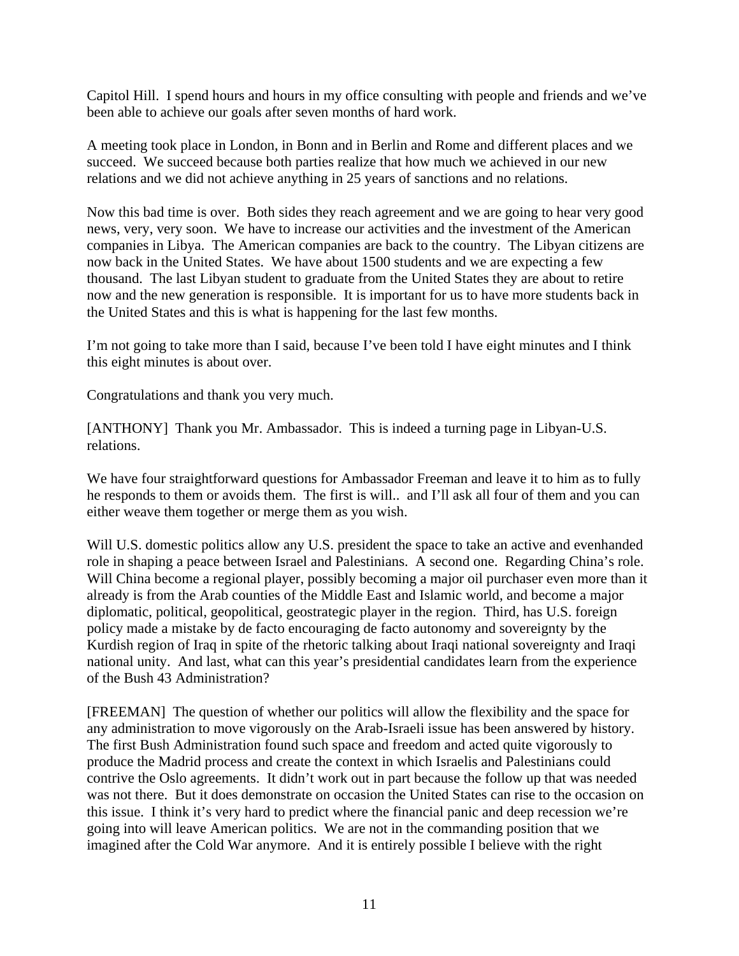Capitol Hill. I spend hours and hours in my office consulting with people and friends and we've been able to achieve our goals after seven months of hard work.

A meeting took place in London, in Bonn and in Berlin and Rome and different places and we succeed. We succeed because both parties realize that how much we achieved in our new relations and we did not achieve anything in 25 years of sanctions and no relations.

Now this bad time is over. Both sides they reach agreement and we are going to hear very good news, very, very soon. We have to increase our activities and the investment of the American companies in Libya. The American companies are back to the country. The Libyan citizens are now back in the United States. We have about 1500 students and we are expecting a few thousand. The last Libyan student to graduate from the United States they are about to retire now and the new generation is responsible. It is important for us to have more students back in the United States and this is what is happening for the last few months.

I'm not going to take more than I said, because I've been told I have eight minutes and I think this eight minutes is about over.

Congratulations and thank you very much.

[ANTHONY] Thank you Mr. Ambassador. This is indeed a turning page in Libyan-U.S. relations.

We have four straightforward questions for Ambassador Freeman and leave it to him as to fully he responds to them or avoids them. The first is will.. and I'll ask all four of them and you can either weave them together or merge them as you wish.

Will U.S. domestic politics allow any U.S. president the space to take an active and evenhanded role in shaping a peace between Israel and Palestinians. A second one. Regarding China's role. Will China become a regional player, possibly becoming a major oil purchaser even more than it already is from the Arab counties of the Middle East and Islamic world, and become a major diplomatic, political, geopolitical, geostrategic player in the region. Third, has U.S. foreign policy made a mistake by de facto encouraging de facto autonomy and sovereignty by the Kurdish region of Iraq in spite of the rhetoric talking about Iraqi national sovereignty and Iraqi national unity. And last, what can this year's presidential candidates learn from the experience of the Bush 43 Administration?

[FREEMAN] The question of whether our politics will allow the flexibility and the space for any administration to move vigorously on the Arab-Israeli issue has been answered by history. The first Bush Administration found such space and freedom and acted quite vigorously to produce the Madrid process and create the context in which Israelis and Palestinians could contrive the Oslo agreements. It didn't work out in part because the follow up that was needed was not there. But it does demonstrate on occasion the United States can rise to the occasion on this issue. I think it's very hard to predict where the financial panic and deep recession we're going into will leave American politics. We are not in the commanding position that we imagined after the Cold War anymore. And it is entirely possible I believe with the right